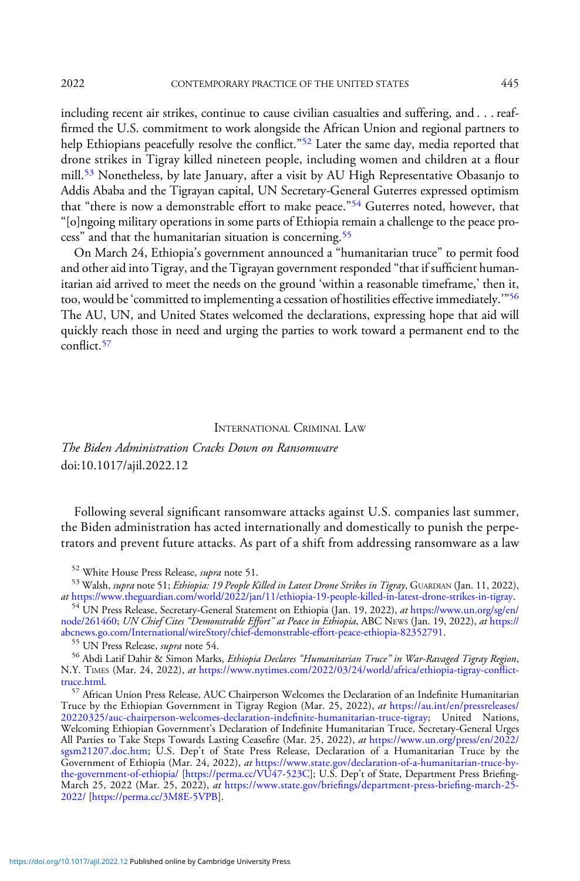including recent air strikes, continue to cause civilian casualties and suffering, and . . . reaffirmed the U.S. commitment to work alongside the African Union and regional partners to help Ethiopians peacefully resolve the conflict."<sup>52</sup> Later the same day, media reported that drone strikes in Tigray killed nineteen people, including women and children at a flour mill.<sup>53</sup> Nonetheless, by late January, after a visit by AU High Representative Obasanjo to Addis Ababa and the Tigrayan capital, UN Secretary-General Guterres expressed optimism that "there is now a demonstrable effort to make peace."<sup>54</sup> Guterres noted, however, that "[o]ngoing military operations in some parts of Ethiopia remain a challenge to the peace process" and that the humanitarian situation is concerning.<sup>55</sup>

On March 24, Ethiopia's government announced a "humanitarian truce" to permit food and other aid into Tigray, and the Tigrayan government responded "that if sufficient humanitarian aid arrived to meet the needs on the ground 'within a reasonable timeframe,' then it, too, would be'committed to implementing a cessation of hostilities effective immediately.'"<sup>56</sup> The AU, UN, and United States welcomed the declarations, expressing hope that aid will quickly reach those in need and urging the parties to work toward a permanent end to the conflict.<sup>57</sup>

## INTERNATIONAL CRIMINAL LAW

The Biden Administration Cracks Down on Ransomware doi:10.1017/ajil.2022.12

Following several significant ransomware attacks against U.S. companies last summer, the Biden administration has acted internationally and domestically to punish the perpetrators and prevent future attacks. As part of a shift from addressing ransomware as a law

<sup>54</sup> UN Press Release, Secretary-General Statement on Ethiopia (Jan. 19, 2022), at [https://www.un.org/sg/en/](https://www.un.org/sg/en/node/261460) [node/261460;](https://www.un.org/sg/en/node/261460) UN Chief Cites "Demonstrable Effort" at Peace in Ethiopia, ABC NEWS (Jan. 19, 2022), at [https://](https://abcnews.go.com/International/wireStory/chief-demonstrable-effort-peace-ethiopia-82352791) [abcnews.go.com/International/wireStory/chief-demonstrable-effort-peace-ethiopia-82352791](https://abcnews.go.com/International/wireStory/chief-demonstrable-effort-peace-ethiopia-82352791). <sup>55</sup> UN Press Release, supra note 54.

<sup>55</sup> UN Press Release, *supra* note 54.<br><sup>56</sup> Abdi Latif Dahir & Simon Marks, *Ethiopia Declares "Humanitarian Truce" in War-Ravaged Tigray Region*, N.Y. TIMES (Mar. 24, 2022), at [https://www.nytimes.com/2022/03/24/world/africa/ethiopia-tigray-con](https://www.nytimes.com/2022/03/24/world/africa/ethiopia-tigray-conflict-truce.html)flict-<br>truce.html.

 $57$  African Union Press Release, AUC Chairperson Welcomes the Declaration of an Indefinite Humanitarian Truce by the Ethiopian Government in Tigray Region (Mar. 25, 2022), at [https://au.int/en/pressreleases/](https://au.int/en/pressreleases/20220325/auc-chairperson-welcomes-declaration-indefinite-humanitarian-truce-tigray) [20220325/auc-chairperson-welcomes-declaration-inde](https://au.int/en/pressreleases/20220325/auc-chairperson-welcomes-declaration-indefinite-humanitarian-truce-tigray)finite-humanitarian-truce-tigray; United Nations, Welcoming Ethiopian Government's Declaration of Indefinite Humanitarian Truce, Secretary-General Urges All Parties to Take Steps Towards Lasting Ceasefire (Mar. 25, 2022), at [https://www.un.org/press/en/2022/](https://www.un.org/press/en/2022/sgsm21207.doc.htm) [sgsm21207.doc.htm;](https://www.un.org/press/en/2022/sgsm21207.doc.htm) U.S. Dep't of State Press Release, Declaration of a Humanitarian Truce by the Government of Ethiopia (Mar. 24, 2022), at [https://www.state.gov/declaration-of-a-humanitarian-truce-by-](https://www.state.gov/declaration-of-a-humanitarian-truce-by-the-government-of-ethiopia/)[the-government-of-ethiopia/](https://www.state.gov/declaration-of-a-humanitarian-truce-by-the-government-of-ethiopia/) [\[https://perma.cc/VU47-523C](https://perma.cc/VU47-523C)]; U.S. Dep't of State, Department Press Briefing-March 25, 2022 (Mar. 25, 2022), at [https://www.state.gov/brie](https://www.state.gov/briefings/department-press-briefing-march-25-2022/)fings/department-press-briefing-march-25- [2022/](https://www.state.gov/briefings/department-press-briefing-march-25-2022/) [\[https://perma.cc/3M8E-5VPB](https://perma.cc/3M8E-5VPB)].

<sup>&</sup>lt;sup>52</sup> White House Press Release, *supra* note 51.<br><sup>53</sup> Walsh, *supra* note 51; *Ethiopia: 19 People Killed in Latest Drone Strikes in Tigray*, GUARDIAN (Jan. 11, 2022),<br>*at* https://www.theguardian.com/world/2022/jan/11/et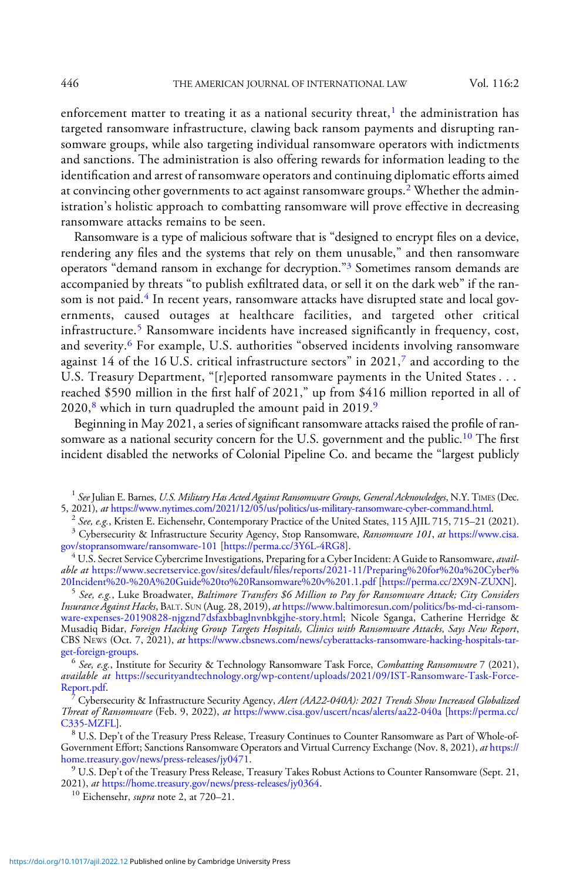enforcement matter to treating it as a national security threat, $<sup>1</sup>$  the administration has</sup> targeted ransomware infrastructure, clawing back ransom payments and disrupting ransomware groups, while also targeting individual ransomware operators with indictments and sanctions. The administration is also offering rewards for information leading to the identification and arrest of ransomware operators and continuing diplomatic efforts aimed at convincing other governments to act against ransomware groups.<sup>2</sup> Whether the administration's holistic approach to combatting ransomware will prove effective in decreasing ransomware attacks remains to be seen.

Ransomware is a type of malicious software that is "designed to encrypt files on a device, rendering any files and the systems that rely on them unusable," and then ransomware operators "demand ransom in exchange for decryption."<sup>3</sup> Sometimes ransom demands are accompanied by threats "to publish exfiltrated data, or sell it on the dark web" if the ransom is not paid.<sup>4</sup> In recent years, ransomware attacks have disrupted state and local governments, caused outages at healthcare facilities, and targeted other critical infrastructure.<sup>5</sup> Ransomware incidents have increased significantly in frequency, cost, and severity.<sup>6</sup> For example, U.S. authorities "observed incidents involving ransomware against 14 of the 16 U.S. critical infrastructure sectors" in 2021,<sup>7</sup> and according to the U.S. Treasury Department, "[r]eported ransomware payments in the United States . . . reached \$590 million in the first half of 2021," up from \$416 million reported in all of  $2020$ ,<sup>8</sup> which in turn quadrupled the amount paid in 2019.<sup>9</sup>

Beginning in May 2021, a series of significant ransomware attacks raised the profile of ransomware as a national security concern for the U.S. government and the public.<sup>10</sup> The first incident disabled the networks of Colonial Pipeline Co. and became the "largest publicly

<sup>1</sup> See Julian E. Barnes, U.S. Military Has Acted Against Ransomware Groups, General Acknowledges, N.Y. TIMES (Dec.<br>5, 2021), at https://www.nytimes.com/2021/12/05/us/politics/us-military-ransomware-cyber-command.html.

<sup>2</sup> See, e.g., Kristen E. Eichensehr, Contemporary Practice of the United States, 115 AJIL 715, 715–21 (2021).<br><sup>3</sup> Cybersecurity & Infrastructure Security Agency, Stop Ransomware, *Ransomware 101*, *at* [https://www.cisa.](https://www.cisa.gov/stopransomware/ransomware-101)<br>

4 U.S. Secret Service Cybercrime Investigations, Preparing for a Cyber Incident: A Guide to Ransomware, *avail*able at [https:/](https://www.secretservice.gov/sites/default/files/reports/2020-12/Preparing%20for%20a%20Cyber%20Incident%20-%20A%20Guide%20to%20Ransomware%20v%201.0.pdf)/www.secretservice.gov/sites/default/fi[les/reports/2021-11/Preparing%20for%20a%20Cyber%](https://www.secretservice.gov/sites/default/files/reports/2020-12/Preparing%20for%20a%20Cyber%20Incident%20-%20A%20Guide%20to%20Ransomware%20v%201.0.pdf)

[20Incident%20-%20A%20Guide%20to%20Ransomware%20v%201.1.pdf](https://www.secretservice.gov/sites/default/files/reports/2020-12/Preparing%20for%20a%20Cyber%20Incident%20-%20A%20Guide%20to%20Ransomware%20v%201.0.pdf) [\[https://perma.cc/2X9N-ZUXN](https://perma.cc/2X9N-ZUXN)]. <sup>5</sup> See, e.g., Luke Broadwater, Baltimore Transfers \$6 Million to Pay for Ransomware Attack; City Considers Insurance Against Hacks, BALT. SUN (Aug. 28, 2019), at [https://www.baltimoresun.com/politics/bs-md-ci-ransom](https://www.baltimoresun.com/politics/bs-md-ci-ransomware-expenses-20190828-njgznd7dsfaxbbaglnvnbkgjhe-story.html)[ware-expenses-20190828-njgznd7dsfaxbbaglnvnbkgjhe-story.html](https://www.baltimoresun.com/politics/bs-md-ci-ransomware-expenses-20190828-njgznd7dsfaxbbaglnvnbkgjhe-story.html); Nicole Sganga, Catherine Herridge & Musadiq Bidar, Foreign Hacking Group Targets Hospitals, Clinics with Ransomware Attacks, Says New Report, CBS NEws (Oct. 7, 2021), at https://www.cbsnews.com/news/cyberattacks-ransomware-hacking-hospitals-tar-<br>get-foreign-groups.

 $^6$  See, e.g., Institute for Security & Technology Ransomware Task Force, Combatting Ransomware 7 (2021), available at [https://securityandtechnology.org/wp-content/uploads/2021/09/IST-Ransomware-Task-Force-](https://securityandtechnology.org/wp-content/uploads/2021/09/IST-Ransomware-Task-Force-Report.pdf)[Report.pdf](https://securityandtechnology.org/wp-content/uploads/2021/09/IST-Ransomware-Task-Force-Report.pdf).<br><sup>7</sup> Cybersecurity & Infrastructure Security Agency, *Alert (AA22-040A): 2021 Trends Show Increased Globalized* 

Threat of Ransomware (Feb. 9, 2022), at <https://www.cisa.gov/uscert/ncas/alerts/aa22-040a> [[https://perma.cc/](https://perma.cc/C335-MZFL)

<sup>8</sup> U.S. Dep't of the Treasury Press Release, Treasury Continues to Counter Ransomware as Part of Whole-of-Government Effort; Sanctions Ransomware Operators and Virtual Currency Exchange (Nov. 8, 2021), *at* [https://](https://home.treasury.gov/news/press-releases/jy0471)<br>home.treasury.gov/news/press-releases/jy0471.

 $^{9}$  U.S. Dep't of the Treasury Press Release, Treasury Takes Robust Actions to Counter Ransomware (Sept. 21, 2021), *at* [https://home.treasury.gov/news/press-releases/jy0364.](https://home.treasury.gov/news/press-releases/jy0364)<br><sup>10</sup> Eichensehr, *supra* note 2, at 720–21.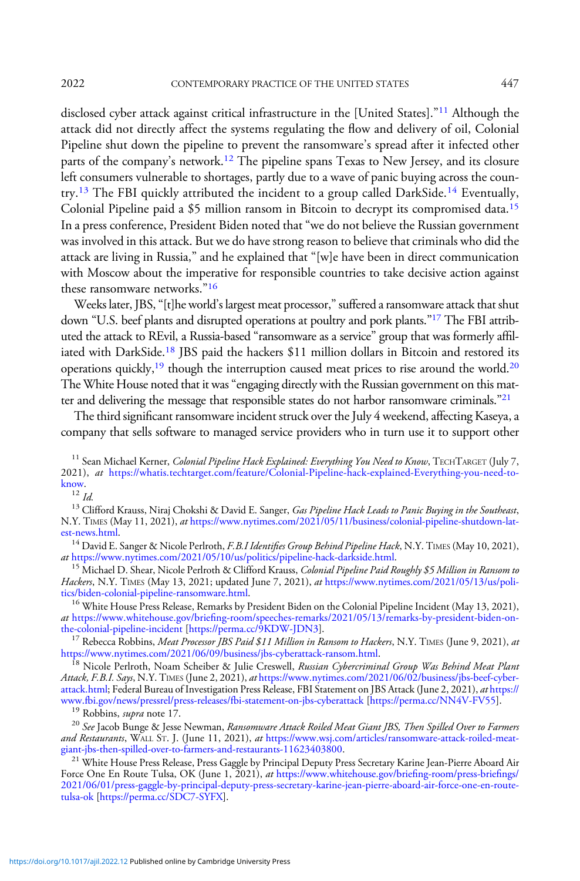disclosed cyber attack against critical infrastructure in the [United States]."<sup>11</sup> Although the attack did not directly affect the systems regulating the flow and delivery of oil, Colonial Pipeline shut down the pipeline to prevent the ransomware's spread after it infected other parts of the company's network.<sup>12</sup> The pipeline spans Texas to New Jersey, and its closure left consumers vulnerable to shortages, partly due to a wave of panic buying across the country.<sup>13</sup> The FBI quickly attributed the incident to a group called DarkSide.<sup>14</sup> Eventually, Colonial Pipeline paid a \$5 million ransom in Bitcoin to decrypt its compromised data.<sup>15</sup> In a press conference, President Biden noted that "we do not believe the Russian government was involved in this attack. But we do have strong reason to believe that criminals who did the attack are living in Russia," and he explained that "[w]e have been in direct communication with Moscow about the imperative for responsible countries to take decisive action against these ransomware networks."<sup>16</sup>

Weeks later, JBS, "[t]he world's largest meat processor," suffered a ransomware attack that shut down "U.S. beef plants and disrupted operations at poultry and pork plants."<sup>17</sup> The FBI attributed the attack to REvil, a Russia-based "ransomware as a service" group that was formerly affiliated with DarkSide.18 JBS paid the hackers \$11 million dollars in Bitcoin and restored its operations quickly,<sup>19</sup> though the interruption caused meat prices to rise around the world.<sup>20</sup> The White House noted that it was"engaging directly with the Russian government on this matter and delivering the message that responsible states do not harbor ransomware criminals."<sup>21</sup>

The third significant ransomware incident struck over the July 4 weekend, affecting Kaseya, a company that sells software to managed service providers who in turn use it to support other

N.Y. TIMES (May 11, 2021), at [https://www.nytimes.com/2021/05/11/business/colonial-pipeline-shutdown-lat-](https://www.nytimes.com/2021/05/11/business/colonial-pipeline-shutdown-latest-news.html)

[est-news.html.](https://www.nytimes.com/2021/05/11/business/colonial-pipeline-shutdown-latest-news.html)<br><sup>14</sup> David E. Sanger & Nicole Perlroth, *F.B.I Identifies Group Behind Pipeline Hack*, N.Y. TIMES (May 10, 2021),<br>*at* https://www.nytimes.com/2021/05/10/us/politics/pipeline-hack-darkside.html.

<sup>15</sup> Michael D. Shear, Nicole Perlroth & Clifford Krauss, Colonial Pipeline Paid Roughly \$5 Million in Ransom to Hackers, N.Y. TIMES (May 13, 2021; updated June 7, 2021), at https://www.nytimes.com/2021/05/13/us/politics/biden-colonial-pipeline-ransomware.html.

<sup>16</sup> White House Press Release, Remarks by President Biden on the Colonial Pipeline Incident (May 13, 2021), at [https:/](https://www.whitehouse.gov/briefing-room/speeches-remarks/2021/05/13/remarks-by-president-biden-on-the-colonial-pipeline-incident/)/www.whitehouse.gov/briefing-room/speeches-remarks/2021/05/13/remarks-by-president-biden-on-<br>the-colonial-pipeline-incident [https://perma.cc/9KDW-JDN3].

<sup>17</sup> Rebecca Robbins, *Meat Processor JBS Paid \$11 Million in Ransom to Hackers*, N.Y. TIMES (June 9, 2021), *at* https://www.nytimes.com/2021/06/09/business/jbs-cyberattack-ransom.html.

<sup>18</sup> Nicole Perlroth, Noam Scheiber & Julie Creswell, Russian Cybercriminal Group Was Behind Meat Plant Attack, F.B.I. Says, N.Y. TIMES (June 2, 2021), at [https://www.nytimes.com/2021/06/02/business/jbs-beef-cyber](https://www.nytimes.com/2021/06/02/business/jbs-beef-cyberattack.html)[attack.html](https://www.nytimes.com/2021/06/02/business/jbs-beef-cyberattack.html); Federal Bureau of Investigation Press Release, FBI Statement on JBS Attack (June 2, 2021), *at* [https://](https://www.fbi.gov/news/pressrel/press-releases/fbi-statement-on-jbs-cyberattack)<br>www.fbi.gov/news/pressrel/press-releases/fbi-statement-on-jbs-cyberattack [https://perma.cc/NN4V-FV55].

<sup>19</sup> Robbins, *supra* note 17.<br><sup>20</sup> See Jacob Bunge & Jesse Newman, *Ransomware Attack Roiled Meat Giant JBS*, *Then Spilled Over to Farmers* and Restaurants, WALL ST. J. (June 11, 2021), at https://www.wsj.com/articles/ransomware-attack-roiled-meat-<br>giant-jbs-then-spilled-over-to-farmers-and-restaurants-11623403800.

<sup>21</sup> White House Press Release, Press Gaggle by Principal Deputy Press Secretary Karine Jean-Pierre Aboard Air Force One En Route Tulsa, OK (June 1, 2021), at [https://www.whitehouse.gov/brie](https://www.whitehouse.gov/briefing-room/press-briefings/2021/06/01/press-gaggle-by-principal-deputy-press-secretary-karine-jean-pierre-aboard-air-force-one-en-route-tulsa-ok/)fing-room/press-briefings/ [2021/06/01/press-gaggle-by-principal-deputy-press-secretary-karine-jean-pierre-aboard-air-force-one-en-route](https://www.whitehouse.gov/briefing-room/press-briefings/2021/06/01/press-gaggle-by-principal-deputy-press-secretary-karine-jean-pierre-aboard-air-force-one-en-route-tulsa-ok/)[tulsa-ok](https://www.whitehouse.gov/briefing-room/press-briefings/2021/06/01/press-gaggle-by-principal-deputy-press-secretary-karine-jean-pierre-aboard-air-force-one-en-route-tulsa-ok/) [[https://perma.cc/SDC7-SYFX\]](https://perma.cc/SDC7-SYFX).

<sup>&</sup>lt;sup>11</sup> Sean Michael Kerner, *Colonial Pipeline Hack Explained: Everything You Need to Know*, TECHTARGET (July 7, 2021), at [https://whatis.techtarget.com/feature/Colonial-Pipeline-hack-explained-Everything-you-need-to](https://whatis.techtarget.com/feature/Colonial-Pipeline-hack-explained-Everything-you-need-to-know)[know](https://whatis.techtarget.com/feature/Colonial-Pipeline-hack-explained-Everything-you-need-to-know).<br><sup>12</sup> Id.<br><sup>13</sup> Clifford Krauss, Niraj Chokshi & David E. Sanger, *Gas Pipeline Hack Leads to Panic Buying in the Southeast*,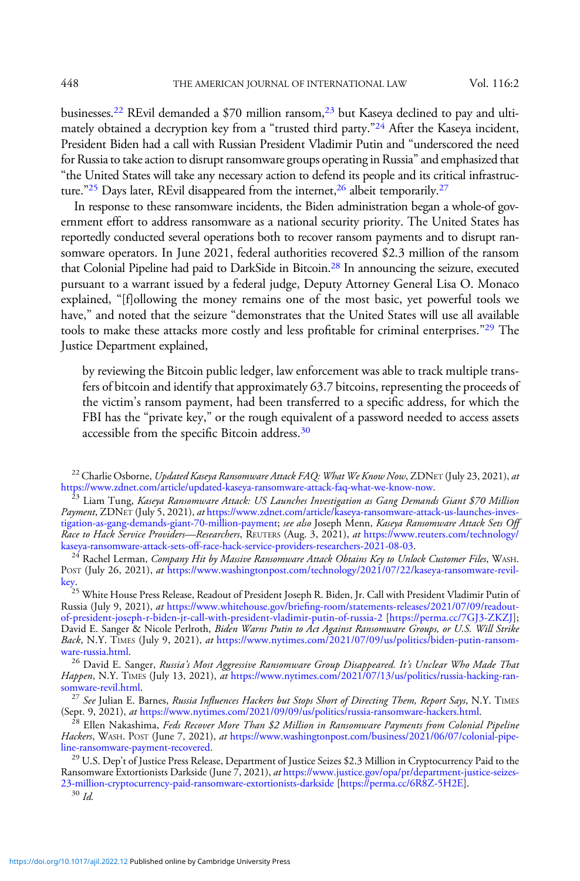businesses.<sup>22</sup> REvil demanded a \$70 million ransom,<sup>23</sup> but Kaseya declined to pay and ultimately obtained a decryption key from a "trusted third party."<sup>24</sup> After the Kaseya incident, President Biden had a call with Russian President Vladimir Putin and "underscored the need for Russia to take action to disrupt ransomware groups operating in Russia"and emphasized that "the United States will take any necessary action to defend its people and its critical infrastructure."<sup>25</sup> Days later, REvil disappeared from the internet,<sup>26</sup> albeit temporarily.<sup>27</sup>

In response to these ransomware incidents, the Biden administration began a whole-of government effort to address ransomware as a national security priority. The United States has reportedly conducted several operations both to recover ransom payments and to disrupt ransomware operators. In June 2021, federal authorities recovered \$2.3 million of the ransom that Colonial Pipeline had paid to DarkSide in Bitcoin.28 In announcing the seizure, executed pursuant to a warrant issued by a federal judge, Deputy Attorney General Lisa O. Monaco explained, "[f]ollowing the money remains one of the most basic, yet powerful tools we have," and noted that the seizure "demonstrates that the United States will use all available tools to make these attacks more costly and less profitable for criminal enterprises."<sup>29</sup> The Justice Department explained,

by reviewing the Bitcoin public ledger, law enforcement was able to track multiple transfers of bitcoin and identify that approximately 63.7 bitcoins, representing the proceeds of the victim's ransom payment, had been transferred to a specific address, for which the FBI has the "private key," or the rough equivalent of a password needed to access assets accessible from the specific Bitcoin address.<sup>30</sup>

[ware-russia.html.](https://www.nytimes.com/2021/07/09/us/politics/biden-putin-ransomware-russia.html)<br><sup>26</sup> David E. Sanger, *Russia's Most Aggressive Ransomware Group Disappeared. It's Unclear Who Made That* Happen, N.Y. TIMES (July 13, 2021), at https://www.nytimes.com/2021/07/13/us/politics/russia-hacking-ran-somware-revil.html.

<sup>27</sup> See Julian E. Barnes, Russia Influences Hackers but Stops Short of Directing Them, Report Says, N.Y. TIMES (Sept. 9, 2021), at <https://www.nytimes.com/2021/09/09/us/politics/russia-ransomware-hackers.html>.<br><sup>28</sup> Ellen Nakashima, *Feds Recover More Than \$2 Million in Ransomware Payments from Colonial Pipeline* 

Hackers, WASH. POST (June 7, 2021), at https://www.washingtonpost.com/business/2021/06/07/colonial-pipe-<br>line-ransomware-payment-recovered.

<sup>29</sup> U.S. Dep't of Justice Press Release, Department of Justice Seizes \$2.3 Million in Cryptocurrency Paid to the Ransomware Extortionists Darkside (June 7, 2021), at [https://www.justice.gov/opa/pr/department-justice-seizes-](https://www.justice.gov/opa/pr/department-justice-seizes-23-million-cryptocurrency-paid-ransomware-extortionists-darkside)[23-million-cryptocurrency-paid-ransomware-extortionists-darkside](https://www.justice.gov/opa/pr/department-justice-seizes-23-million-cryptocurrency-paid-ransomware-extortionists-darkside) [\[https://perma.cc/6R8Z-5H2E](https://perma.cc/6R8Z-5H2E)].<br><sup>30</sup> Id.

<sup>&</sup>lt;sup>22</sup> Charlie Osborne, *Updated Kaseya Ransomware Attack FAQ: What We Know Now*, ZDNET (July 23, 2021), *at* https://www.zdnet.com/article/updated-kaseya-ransomware-attack-faq-what-we-know-now.

 $^{\tilde{2}3}$  Liam Tung, Kaseya Ransomware Attack: US Launches Investigation as Gang Demands Giant \$70 Million Payment, ZDNET (July 5, 2021), at [https://www.zdnet.com/article/kaseya-ransomware-attack-us-launches-inves](https://www.zdnet.com/article/kaseya-ransomware-attack-us-launches-investigation-as-gang-demands-giant-70-million-payment)[tigation-as-gang-demands-giant-70-million-payment](https://www.zdnet.com/article/kaseya-ransomware-attack-us-launches-investigation-as-gang-demands-giant-70-million-payment); *see also* Joseph Menn, *Kaseya Ransomware Attack Sets Off* Race to Hack Service Providers—Researchers, REUTERS (Aug. 3, 2021), at [https://www.reuters.com/technology/](https://www.reuters.com/technology/kaseya-ransomware-attack-sets-off-race-hack-service-providers-researchers-2021-08-03/)<br>kaseya-ransomware-attack-sets-off-race-hack-service-providers-researchers-2021-08-03.

<sup>24&</sup>lt;br><sup>24</sup> Rachel Lerman, Company Hit by Massive Ransomware Attack Obtains Key to Unlock Customer Files, WASH. POST (July 26, 2021), at [https://www.washingtonpost.com/technology/2021/07/22/kaseya-ransomware-revil](https://www.washingtonpost.com/technology/2021/07/22/kaseya-ransomware-revil-key)[key.](https://www.washingtonpost.com/technology/2021/07/22/kaseya-ransomware-revil-key)

<sup>&</sup>lt;sup>25</sup> White House Press Release, Readout of President Joseph R. Biden, Jr. Call with President Vladimir Putin of Russia (July 9, 2021), at [https://](https://www.whitehouse.gov/briefing-room/statements-releases/2021/07/09/readout-of-president-joseph-r-biden-jr-call-with-president-vladimir-putin-of-russia-2/)www.whitehouse.gov/briefi[ng-room/statements-releases/2021/07/09/readout](https://www.whitehouse.gov/briefing-room/statements-releases/2021/07/09/readout-of-president-joseph-r-biden-jr-call-with-president-vladimir-putin-of-russia-2/)[of-president-joseph-r-biden-jr-call-with-president-vladimir-putin-of-russia-2](https://www.whitehouse.gov/briefing-room/statements-releases/2021/07/09/readout-of-president-joseph-r-biden-jr-call-with-president-vladimir-putin-of-russia-2/) [\[https://perma.cc/7GJ3-ZKZJ\]](https://perma.cc/7GJ3-ZKZJ); David E. Sanger & Nicole Perlroth, Biden Warns Putin to Act Against Ransomware Groups, or U.S. Will Strike Back, N.Y. TIMES (July 9, 2021), at [https://www.nytimes.com/2021/07/09/us/politics/biden-putin-ransom-](https://www.nytimes.com/2021/07/09/us/politics/biden-putin-ransomware-russia.html)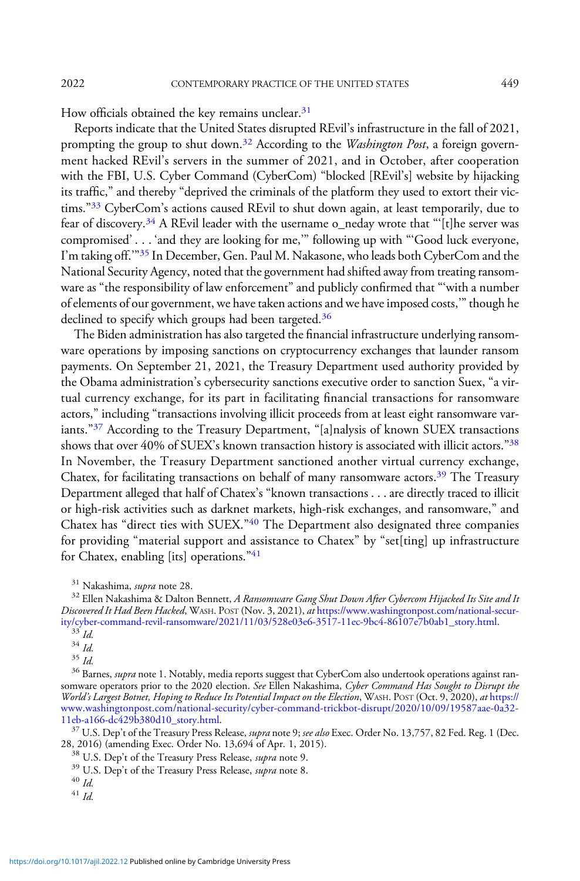How officials obtained the key remains unclear.<sup>31</sup>

Reports indicate that the United States disrupted REvil's infrastructure in the fall of 2021, prompting the group to shut down.<sup>32</sup> According to the *Washington Post*, a foreign government hacked REvil's servers in the summer of 2021, and in October, after cooperation with the FBI, U.S. Cyber Command (CyberCom) "blocked [REvil's] website by hijacking its traffic," and thereby "deprived the criminals of the platform they used to extort their victims."<sup>33</sup> CyberCom's actions caused REvil to shut down again, at least temporarily, due to fear of discovery.<sup>34</sup> A REvil leader with the username o\_neday wrote that "'[t]he server was compromised' ... 'and they are looking for me,'" following up with "'Good luck everyone, I'm taking off.'"<sup>35</sup> In December, Gen. Paul M. Nakasone, who leads both CyberCom and the National Security Agency, noted that the government had shifted away from treating ransomware as "the responsibility of law enforcement" and publicly confirmed that "'with a number of elements of our government, we have taken actions and we have imposed costs,'"though he declined to specify which groups had been targeted.<sup>36</sup>

The Biden administration has also targeted the financial infrastructure underlying ransomware operations by imposing sanctions on cryptocurrency exchanges that launder ransom payments. On September 21, 2021, the Treasury Department used authority provided by the Obama administration's cybersecurity sanctions executive order to sanction Suex, "a virtual currency exchange, for its part in facilitating financial transactions for ransomware actors," including "transactions involving illicit proceeds from at least eight ransomware variants."<sup>37</sup> According to the Treasury Department, "[a]nalysis of known SUEX transactions shows that over 40% of SUEX's known transaction history is associated with illicit actors."<sup>38</sup> In November, the Treasury Department sanctioned another virtual currency exchange, Chatex, for facilitating transactions on behalf of many ransomware actors.<sup>39</sup> The Treasury Department alleged that half of Chatex's "known transactions . . . are directly traced to illicit or high-risk activities such as darknet markets, high-risk exchanges, and ransomware," and Chatex has "direct ties with SUEX."<sup>40</sup> The Department also designated three companies for providing "material support and assistance to Chatex" by "set[ting] up infrastructure for Chatex, enabling [its] operations."41

 $\frac{31}{32}$  Nakashima, *supra* note 28.<br><sup>32</sup> Ellen Nakashima & Dalton Bennett, *A Ransomware Gang Shut Down After Cybercom Hijacked Its Site and It* Discovered It Had Been Hacked, WASH. POST (Nov. 3, 2021), at [https://www.washingtonpost.com/national-secur](https://www.washingtonpost.com/national-security/cyber-command-revil-ransomware/2021/11/03/528e03e6-3517-11ec-9bc4-86107e7b0ab1_story.html)[ity/cyber-command-revil-ransomware/2021/11/03/528e03e6-3517-11ec-9bc4-86107e7b0ab1\\_story.html](https://www.washingtonpost.com/national-security/cyber-command-revil-ransomware/2021/11/03/528e03e6-3517-11ec-9bc4-86107e7b0ab1_story.html). <sup>33</sup> Id.

<sup>37</sup> U.S. Dep't of the Treasury Press Release, *supra* note 9; *see also* Exec. Order No. 13,757, 82 Fed. Reg. 1 (Dec. 28, 2016) (amending Exec. Order No. 13,694 of Apr. 1, 2015).

<sup>38</sup> U.S. Dep't of the Treasury Press Release, *supra* note 9.<br><sup>39</sup> U.S. Dep't of the Treasury Press Release, *supra* note 8.<br><sup>40</sup> Id. <sup>41</sup> Id.

<sup>&</sup>lt;sup>34</sup> Id.<br><sup>35</sup> Id.<br><sup>36</sup> Barnes, *supra* note 1. Notably, media reports suggest that CyberCom also undertook operations against ransomware operators prior to the 2020 election. See Ellen Nakashima, Cyber Command Has Sought to Disrupt the World's Largest Botnet, Hoping to Reduce Its Potential Impact on the Election, WASH. POST (Oct. 9, 2020), at [https://](https://www.washingtonpost.com/national-security/cyber-command-trickbot-disrupt/2020/10/09/19587aae-0a32-11eb-a166-dc429b380d10_story.html) [www.washingtonpost.com/national-security/cyber-command-trickbot-disrupt/2020/10/09/19587aae-0a32-](https://www.washingtonpost.com/national-security/cyber-command-trickbot-disrupt/2020/10/09/19587aae-0a32-11eb-a166-dc429b380d10_story.html)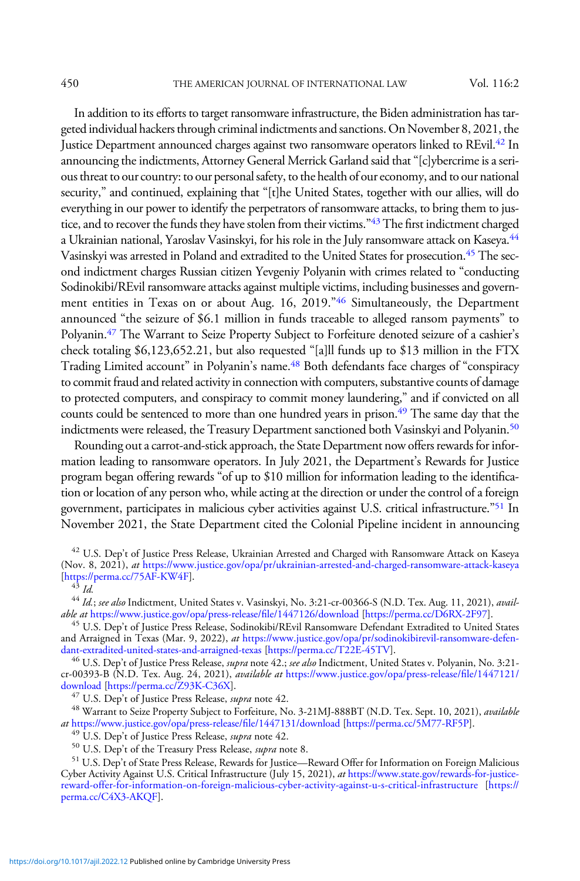450 THE AMERICAN JOURNAL OF INTERNATIONAL LAW Vol. 116:2

In addition to its efforts to target ransomware infrastructure, the Biden administration has targeted individual hackers through criminal indictments and sanctions. On November 8, 2021, the Justice Department announced charges against two ransomware operators linked to REvil.42 In announcing the indictments, Attorney General Merrick Garland said that"[c]ybercrime is a serious threat to our country: to our personal safety, to the health of our economy, and to our national security," and continued, explaining that "[t]he United States, together with our allies, will do everything in our power to identify the perpetrators of ransomware attacks, to bring them to justice, and to recover the funds they have stolen from their victims."43 The first indictment charged a Ukrainian national, Yaroslav Vasinskyi, for his role in the July ransomware attack on Kaseya.<sup>44</sup> Vasinskyi was arrested in Poland and extradited to the United States for prosecution.45 The second indictment charges Russian citizen Yevgeniy Polyanin with crimes related to "conducting Sodinokibi/REvil ransomware attacks against multiple victims, including businesses and government entities in Texas on or about Aug. 16, 2019.<sup>746</sup> Simultaneously, the Department announced "the seizure of \$6.1 million in funds traceable to alleged ransom payments" to Polyanin.47 The Warrant to Seize Property Subject to Forfeiture denoted seizure of a cashier's check totaling \$6,123,652.21, but also requested "[a]ll funds up to \$13 million in the FTX Trading Limited account" in Polyanin's name.48 Both defendants face charges of "conspiracy to commit fraud and related activity in connection with computers, substantive counts of damage to protected computers, and conspiracy to commit money laundering," and if convicted on all counts could be sentenced to more than one hundred years in prison.<sup>49</sup> The same day that the indictments were released, the Treasury Department sanctioned both Vasinskyi and Polyanin.<sup>50</sup>

Rounding out a carrot-and-stick approach, the State Department now offers rewards for information leading to ransomware operators. In July 2021, the Department's Rewards for Justice program began offering rewards "of up to \$10 million for information leading to the identification or location of any person who, while acting at the direction or under the control of a foreign government, participates in malicious cyber activities against U.S. critical infrastructure."<sup>51</sup> In November 2021, the State Department cited the Colonial Pipeline incident in announcing

<sup>42</sup> U.S. Dep't of Justice Press Release, Ukrainian Arrested and Charged with Ransomware Attack on Kaseya (Nov. 8, 2021), at <https://www.justice.gov/opa/pr/ukrainian-arrested-and-charged-ransomware-attack-kaseya> [<https://perma.cc/75AF-KW4F>].<br> $^{43}$  *Id.* 

<sup>46</sup> U.S. Dep't of Justice Press Release, *supra* note 42.; see also Indictment, United States v. Polyanin, No. 3:21cr-00393-B (N.D. Tex. Aug. 24, 2021), available at [https://www.justice.gov/opa/press-release/](https://www.justice.gov/opa/press-release/file/1447121/download)file/1447121/ [download](https://www.justice.gov/opa/press-release/file/1447121/download) [\[https://perma.cc/Z93K-C36X\]](https://perma.cc/Z93K-C36X).<br><sup>47</sup> U.S. Dep't of Justice Press Release, *supra* note 42.

<sup>48</sup> Warrant to Seize Property Subject to Forfeiture, No. 3-21MJ-888BT (N.D. Tex. Sept. 10, 2021), available at [https://www.justice.gov/opa/press-release/](https://www.justice.gov/opa/press-release/file/1447131/download)file/1447131/download [\[https://perma.cc/5M77-RF5P\]](https://perma.cc/5M77-RF5P).<br><sup>49</sup> U.S. Dep't of Justice Press Release, *supra* note 42.

<sup>49</sup> U.S. Dep't of Justice Press Release, *supra* note 42.<br><sup>50</sup> U.S. Dep't of the Treasury Press Release, *supra* note 8.<br><sup>51</sup> U.S. Dep't of State Press Release, Rewards for Justice—Reward Offer for Information on Foreign Cyber Activity Against U.S. Critical Infrastructure (July 15, 2021), at [https://www.state.gov/rewards-for-justice](https://www.state.gov/rewards-for-justice-reward-offer-for-information-on-foreign-malicious-cyber-activity-against-u-s-critical-infrastructure/)[reward-offer-for-information-on-foreign-malicious-cyber-activity-against-u-s-critical-infrastructure](https://www.state.gov/rewards-for-justice-reward-offer-for-information-on-foreign-malicious-cyber-activity-against-u-s-critical-infrastructure/) [\[https://](https://perma.cc/C4X3-AKQF) [perma.cc/C4X3-AKQF\]](https://perma.cc/C4X3-AKQF).

<sup>&</sup>lt;sup>44</sup> Id.; see also Indictment, United States v. Vasinskyi, No. 3:21-cr-00366-S (N.D. Tex. Aug. 11, 2021), available at [https://www.justice.gov/opa/press-release/](https://www.justice.gov/opa/press-release/file/1447126/download)file/1447126/download [\[https://perma.cc/D6RX-2F97](https://perma.cc/D6RX-2F97)].

<sup>&</sup>lt;sup>45</sup> U.S. Dep't of Justice Press Release, Sodinokibi/REvil Ransomware Defendant Extradited to United States and Arraigned in Texas (Mar. 9, 2022), at https://www.justice.gov/opa/pr/sodinokibirevil-ransomware-defen-<br>dant-extradited-united-states-and-arraigned-texas [https://perma.cc/T22E-45TV].